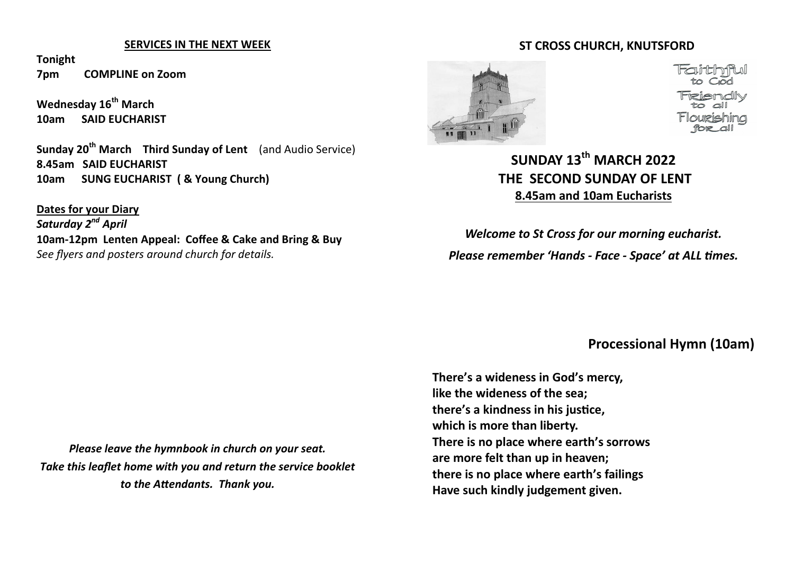#### **SERVICES IN THE NEXT WEEK**

**Tonight 7pm COMPLINE on Zoom**

**Wednesday 16th March 10am SAID EUCHARIST** 

**Sunday 20th March Third Sunday of Lent** (and Audio Service) **8.45am SAID EUCHARIST 10am SUNG EUCHARIST ( & Young Church)**

**Dates for your Diary** *Saturday 2nd April* **10am-12pm Lenten Appeal: Coffee & Cake and Bring & Buy** *See flyers and posters around church for details.*

# **ST CROSS CHURCH, KNUTSFORD**



# **SUNDAY 13th MARCH 2022 THE SECOND SUNDAY OF LENT 8.45am and 10am Eucharists**

*Welcome to St Cross for our morning eucharist. Please remember 'Hands - Face - Space' at ALL times.*

#### **Processional Hymn (10am)**

**There's a wideness in God's mercy, like the wideness of the sea; there's a kindness in his justice, which is more than liberty. There is no place where earth's sorrows are more felt than up in heaven; there is no place where earth's failings Have such kindly judgement given.**

*Please leave the hymnbook in church on your seat. Take this leaflet home with you and return the service booklet to the Attendants. Thank you.*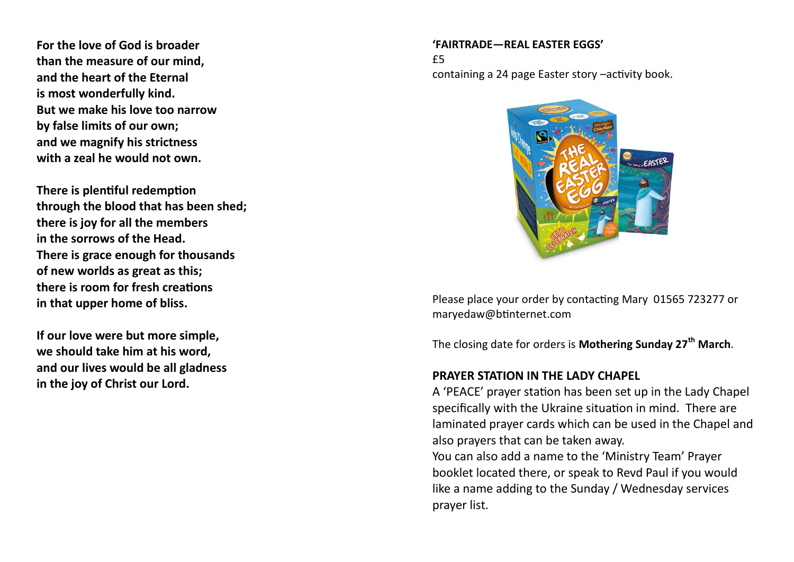**For the love of God is broader than the measure of our mind, and the heart of the Eternal is most wonderfully kind. But we make his love too narrow by false limits of our own; and we magnify his strictness with a zeal he would not own.**

**There is plentiful redemption through the blood that has been shed; there is joy for all the members in the sorrows of the Head. There is grace enough for thousands of new worlds as great as this; there is room for fresh creations in that upper home of bliss.**

**If our love were but more simple, we should take him at his word, and our lives would be all gladness in the joy of Christ our Lord.**

#### **'FAIRTRADE—REAL EASTER EGGS'**

£5 containing a 24 page Easter story –activity book.



Please place your order by contacting Mary 01565 723277 or maryedaw@btinternet.com

The closing date for orders is **Mothering Sunday 27th March**.

#### **PRAYER STATION IN THE LADY CHAPEL**

A 'PEACE' prayer station has been set up in the Lady Chapel specifically with the Ukraine situation in mind. There are laminated prayer cards which can be used in the Chapel and also prayers that can be taken away.

You can also add a name to the 'Ministry Team' Prayer booklet located there, or speak to Revd Paul if you would like a name adding to the Sunday / Wednesday services prayer list.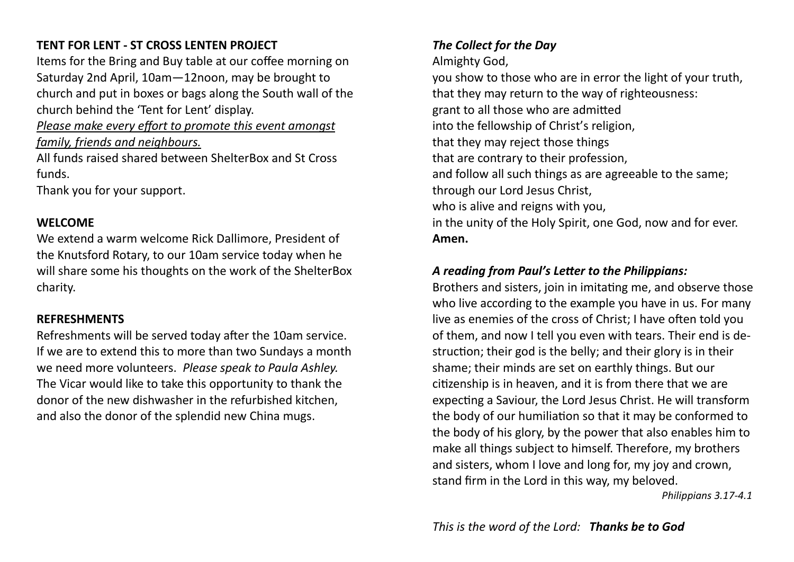## **TENT FOR LENT - ST CROSS LENTEN PROJECT**

Items for the Bring and Buy table at our coffee morning on Saturday 2nd April, 10am—12noon, may be brought to church and put in boxes or bags along the South wall of the church behind the 'Tent for Lent' display.

*Please make every effort to promote this event amongst family, friends and neighbours.*

All funds raised shared between ShelterBox and St Cross funds.

Thank you for your support.

#### **WELCOME**

We extend a warm welcome Rick Dallimore, President of the Knutsford Rotary, to our 10am service today when he will share some his thoughts on the work of the ShelterBox charity.

#### **REFRESHMENTS**

Refreshments will be served today after the 10am service. If we are to extend this to more than two Sundays a month we need more volunteers. *Please speak to Paula Ashley.* The Vicar would like to take this opportunity to thank the donor of the new dishwasher in the refurbished kitchen, and also the donor of the splendid new China mugs.

## *The Collect for the Day*

Almighty God,

you show to those who are in error the light of your truth, that they may return to the way of righteousness: grant to all those who are admitted into the fellowship of Christ's religion, that they may reject those things that are contrary to their profession, and follow all such things as are agreeable to the same; through our Lord Jesus Christ, who is alive and reigns with you, in the unity of the Holy Spirit, one God, now and for ever. **Amen.** 

## *A reading from Paul's Letter to the Philippians:*

Brothers and sisters, join in imitating me, and observe those who live according to the example you have in us. For many live as enemies of the cross of Christ; I have often told you of them, and now I tell you even with tears. Their end is destruction; their god is the belly; and their glory is in their shame; their minds are set on earthly things. But our citizenship is in heaven, and it is from there that we are expecting a Saviour, the Lord Jesus Christ. He will transform the body of our humiliation so that it may be conformed to the body of his glory, by the power that also enables him to make all things subject to himself. Therefore, my brothers and sisters, whom I love and long for, my joy and crown, stand firm in the Lord in this way, my beloved.

*Philippians 3.17-4.1*